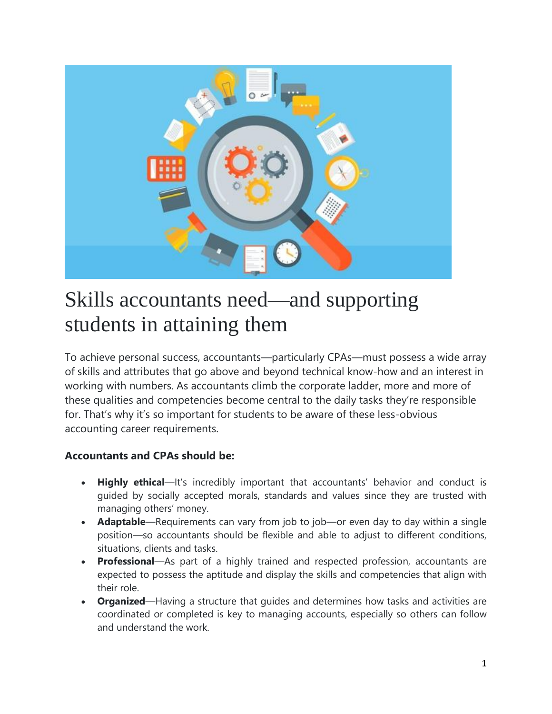

## Skills accountants need—and supporting students in attaining them

To achieve personal success, accountants—particularly CPAs—must possess a wide array of skills and attributes that go above and beyond technical know-how and an interest in working with numbers. As accountants climb the corporate ladder, more and more of these qualities and competencies become central to the daily tasks they're responsible for. That's why it's so important for students to be aware of these less-obvious accounting career requirements.

## **Accountants and CPAs should be:**

- **Highly ethical—It's incredibly important that accountants' behavior and conduct is** guided by socially accepted morals, standards and values since they are trusted with managing others' money.
- **Adaptable**—Requirements can vary from job to job—or even day to day within a single position—so accountants should be flexible and able to adjust to different conditions, situations, clients and tasks.
- **Professional**—As part of a highly trained and respected profession, accountants are expected to possess the aptitude and display the skills and competencies that align with their role.
- **Organized**—Having a structure that guides and determines how tasks and activities are coordinated or completed is key to managing accounts, especially so others can follow and understand the work.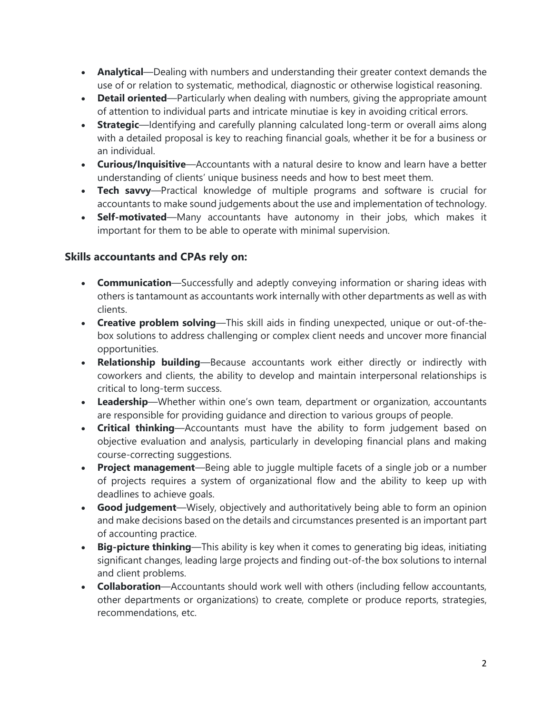- **Analytical**—Dealing with numbers and understanding their greater context demands the use of or relation to systematic, methodical, diagnostic or otherwise logistical reasoning.
- **Detail oriented**—Particularly when dealing with numbers, giving the appropriate amount of attention to individual parts and intricate minutiae is key in avoiding critical errors.
- **Strategic**—Identifying and carefully planning calculated long-term or overall aims along with a detailed proposal is key to reaching financial goals, whether it be for a business or an individual.
- **Curious/Inquisitive**—Accountants with a natural desire to know and learn have a better understanding of clients' unique business needs and how to best meet them.
- **Tech savvy**—Practical knowledge of multiple programs and software is crucial for accountants to make sound judgements about the use and implementation of technology.
- **Self-motivated**—Many accountants have autonomy in their jobs, which makes it important for them to be able to operate with minimal supervision.

## **Skills accountants and CPAs rely on:**

- **Communication**—Successfully and adeptly conveying information or sharing ideas with others is tantamount as accountants work internally with other departments as well as with clients.
- **Creative problem solving**—This skill aids in finding unexpected, unique or out-of-thebox solutions to address challenging or complex client needs and uncover more financial opportunities.
- **Relationship building**—Because accountants work either directly or indirectly with coworkers and clients, the ability to develop and maintain interpersonal relationships is critical to long-term success.
- **Leadership**—Whether within one's own team, department or organization, accountants are responsible for providing guidance and direction to various groups of people.
- **Critical thinking**—Accountants must have the ability to form judgement based on objective evaluation and analysis, particularly in developing financial plans and making course-correcting suggestions.
- **Project management**—Being able to juggle multiple facets of a single job or a number of projects requires a system of organizational flow and the ability to keep up with deadlines to achieve goals.
- **Good judgement**—Wisely, objectively and authoritatively being able to form an opinion and make decisions based on the details and circumstances presented is an important part of accounting practice.
- **Big-picture thinking**—This ability is key when it comes to generating big ideas, initiating significant changes, leading large projects and finding out-of-the box solutions to internal and client problems.
- **Collaboration**—Accountants should work well with others (including fellow accountants, other departments or organizations) to create, complete or produce reports, strategies, recommendations, etc.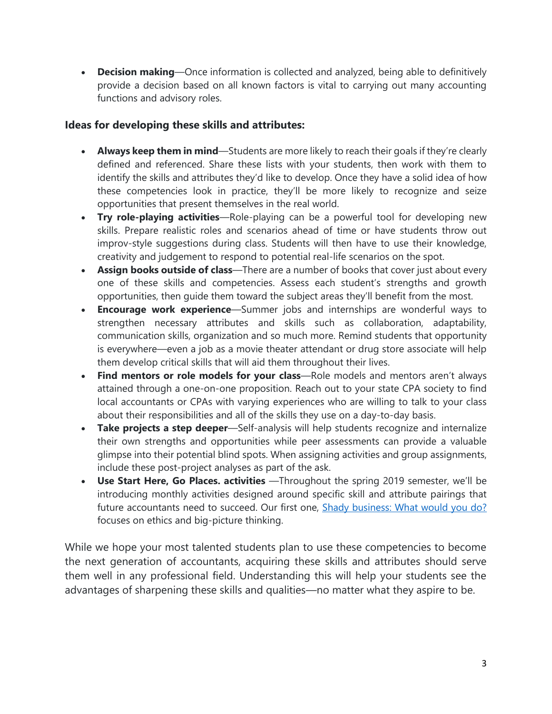**Decision making**—Once information is collected and analyzed, being able to definitively provide a decision based on all known factors is vital to carrying out many accounting functions and advisory roles.

## **Ideas for developing these skills and attributes:**

- **Always keep them in mind**—Students are more likely to reach their goals if they're clearly defined and referenced. Share these lists with your students, then work with them to identify the skills and attributes they'd like to develop. Once they have a solid idea of how these competencies look in practice, they'll be more likely to recognize and seize opportunities that present themselves in the real world.
- **Try role-playing activities**—Role-playing can be a powerful tool for developing new skills. Prepare realistic roles and scenarios ahead of time or have students throw out improv-style suggestions during class. Students will then have to use their knowledge, creativity and judgement to respond to potential real-life scenarios on the spot.
- **Assign books outside of class**—There are a number of books that cover just about every one of these skills and competencies. Assess each student's strengths and growth opportunities, then guide them toward the subject areas they'll benefit from the most.
- **Encourage work experience**—Summer jobs and internships are wonderful ways to strengthen necessary attributes and skills such as collaboration, adaptability, communication skills, organization and so much more. Remind students that opportunity is everywhere—even a job as a movie theater attendant or drug store associate will help them develop critical skills that will aid them throughout their lives.
- **Find mentors or role models for your class**—Role models and mentors aren't always attained through a one-on-one proposition. Reach out to your state CPA society to find local accountants or CPAs with varying experiences who are willing to talk to your class about their responsibilities and all of the skills they use on a day-to-day basis.
- **Take projects a step deeper**—Self-analysis will help students recognize and internalize their own strengths and opportunities while peer assessments can provide a valuable glimpse into their potential blind spots. When assigning activities and group assignments, include these post-project analyses as part of the ask.
- **Use Start Here, Go Places. activities** —Throughout the spring 2019 semester, we'll be introducing monthly activities designed around specific skill and attribute pairings that future accountants need to succeed. Our first one, [Shady business: What would you do?](https://www.startheregoplaces.com/teacher/classroom-resources/shady-business-what-would-you-do/) focuses on ethics and big-picture thinking.

While we hope your most talented students plan to use these competencies to become the next generation of accountants, acquiring these skills and attributes should serve them well in any professional field. Understanding this will help your students see the advantages of sharpening these skills and qualities—no matter what they aspire to be.